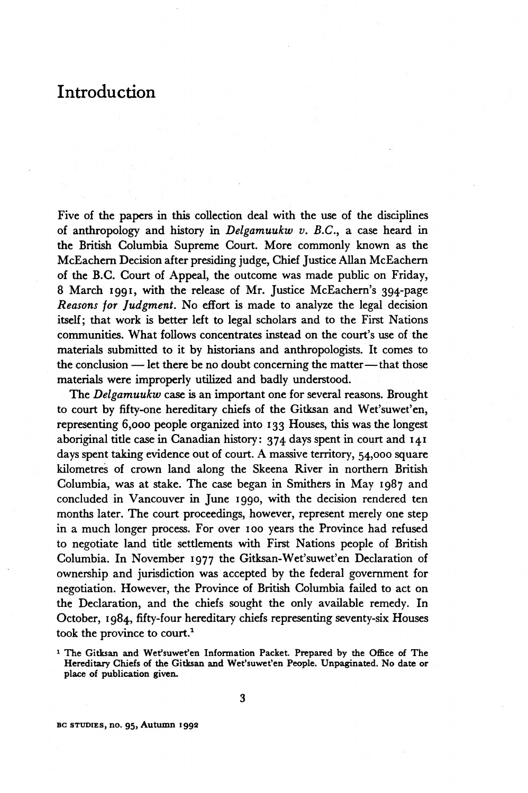## **Introduction**

**Five of the papers in this collection deal with the use of the disciplines of anthropology and history** *in Delgamuukw v. B.C.,* **a case heard in the British Columbia Supreme Court. More commonly known as the McEachern Decision after presiding judge, Chief Justice Allan McEachern of the B.C. Court of Appeal, the outcome was made public on Friday, 8 March 1991, with the release of Mr. Justice McEachern's 394-page**  *Reasons for Judgment.* **No effort is made to analyze the legal decision itself; that work is better left to legal scholars and to the First Nations communities. What follows concentrates instead on the court's use of the materials submitted to it by historians and anthropologists. It comes to the conclusion —-let there be no doubt concerning the matter—that those materials were improperly utilized and badly understood.** 

**The** *Delgamuukw* **case is an important one for several reasons. Brought to court by fifty-one hereditary chiefs of the Gitksan and Wet'suwet'en, representing 6,000 people organized into 133 Houses, this was the longest aboriginal title case in Canadian history: 374 days spent in court and 141 days spent taking evidence out of court. A massive territory, 54,000 square kilometres of crown land along the Skeena River in northern British Columbia, was at stake. The case began in Smithers in May 1987 and concluded in Vancouver in June 1990, with the decision rendered ten months later. The court proceedings, however, represent merely one step in a much longer process. For over 100 years the Province had refused to negotiate land title settlements with First Nations people of British Columbia. In November 1977 the Gitksan-Wet'suwet'en Declaration of ownership and jurisdiction was accepted by the federal government for negotiation. However, the Province of British Columbia failed to act on the Declaration, and the chiefs sought the only available remedy. In**  October, 1984, fifty-four hereditary chiefs representing seventy-six Houses **took the province to court.<sup>1</sup>**

**BG STUDIES, no. 95, Autumn 1992** 

**<sup>1</sup> The Gitksan and Wet'suwet'en Information Packet. Prepared by the Office of The Hereditary Chiefs of the Gitksan and Wet'suwet'en People. Unpaginated. No date or place of publication given.**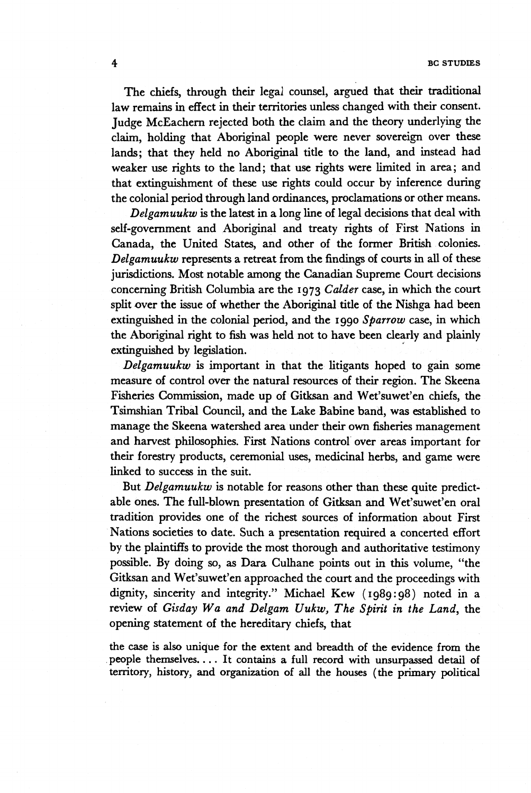**The chiefs, through their legal counsel, argued that their traditional law remains in effect in their territories unless changed with their consent. Judge McEachern rejected both the claim and the theory underlying the claim, holding that Aboriginal people were never sovereign over these lands; that they held no Aboriginal title to the land, and instead had weaker use rights to the land; that use rights were limited in area; and that extinguishment of these use rights could occur by inference during the colonial period through land ordinances, proclamations or other means.** 

*Delgamuukw* **is the latest in a long line of legal decisions that deal with self-government and Aboriginal and treaty rights of First Nations in Canada, the United States, and other of the former British colonies.**  *Delgamuukw* **represents a retreat from the findings of courts in all of these jurisdictions. Most notable among the Canadian Supreme Court decisions concerning British Columbia are the 1973** *Colder* **case, in which the court split over the issue of whether the Aboriginal title of the Nishga had been extinguished in the colonial period, and the 1990** *Sparrow* **case, in which the Aboriginal right to fish was held not to have been clearly and plainly extinguished by legislation.** 

*Delgamuukw* **is important in that the litigants hoped to gain some measure of control over the natural resources of their region. The Skeena Fisheries Commission, made up of Gitksan and Wet'suwet'en chiefs, the Tsimshian Tribal Council, and the Lake Babine band, was established to manage the Skeena watershed area under their own fisheries management and harvest philosophies. First Nations control over areas important for their forestry products, ceremonial uses, medicinal herbs, and game were linked to success in the suit.** 

**But** *Delgamuukw* **is notable for reasons other than these quite predictable ones. The full-blown presentation of Gitksan and Wet'suwet'en oral tradition provides one of the richest sources of information about First Nations societies to date. Such a presentation required a concerted effort by the plaintiffs to provide the most thorough and authoritative testimony possible. By doing so, as Dara Culhane points out in this volume, "the Gitksan and Wet'suwet'en approached the court and the proceedings with dignity, sincerity and integrity." Michael Kew (1989:98) noted in a review of** *Gisday Wa and Delgam Uukw, The Spirit in the Land,* **the opening statement of the hereditary chiefs, that** 

**the case is also unique for the extent and breadth of the evidence from the people themselves.... It contains a full record with unsurpassed detail of territory, history, and organization of all the houses (the primary political**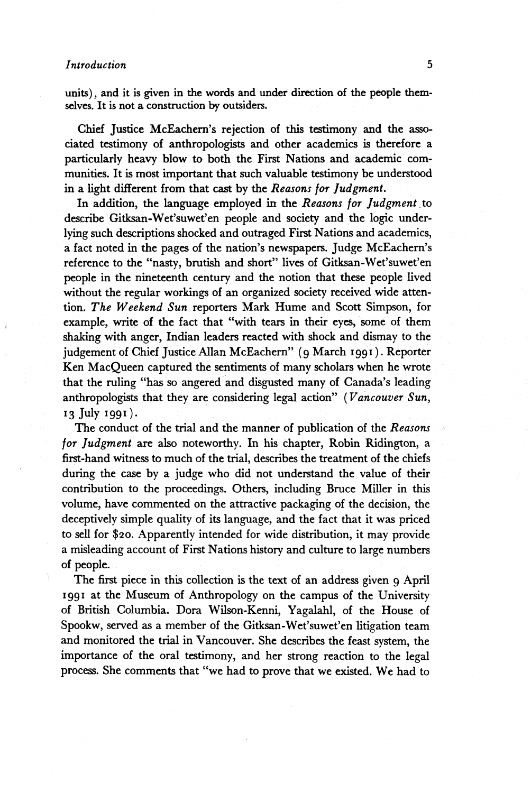**units), and it is given in the words and under direction of the people themselves. It is not a construction by outsiders.** 

**Chief Justice McEachern's rejection of this testimony and the associated testimony of anthropologists and other academics is therefore a particularly heavy blow to both the First Nations and academic communities. It is most important that such valuable testimony be understood in a light different from that cast by the** *Reasons for Judgment.* 

**In addition, the language employed in the** *Reasons for Judgment* **to describe Gitksan-Wet'suwet'en people and society and the logic underlying such descriptions shocked and outraged First Nations and academics, a fact noted in the pages of the nation's newspapers. Judge McEachern's reference to the "nasty, brutish and short" lives of Gitksan-Wet'suwet'en people in the nineteenth century and the notion that these people lived without the regular workings of an organized society received wide attention.** *The Weekend Sun* **reporters Mark Hume and Scott Simpson, for example, write of the fact that "with tears in their eyes, some of them shaking with anger, Indian leaders reacted with shock and dismay to the judgement of Chief Justice Allan McEachern" (9 March 1991 ). Reporter Ken MacQueen captured the sentiments of many scholars when he wrote that the ruling "has so angered and disgusted many of Canada's leading anthropologists that they are considering legal action"** *(Vancouver Sun,*  **13 July 1990-**

**The conduct of the trial and the manner of publication of the** *Reasons for Judgment* **are also noteworthy. In his chapter, Robin Ridington, a first-hand witness to much of the trial, describes the treatment of the chiefs during the case by a judge who did not understand the value of their contribution to the proceedings. Others, including Bruce Miller in this volume, have commented on the attractive packaging of the decision, the deceptively simple quality of its language, and the fact that it was priced to sell for \$20. Apparently intended for wide distribution, it may provide a misleading account of First Nations history and culture to large numbers of people.** 

**The first piece in this collection is the text of an address given 9 April 1991 at the Museum of Anthropology on the campus of the University of British Columbia. Dora Wilson-Kenni, Yagalahl, of the House of Spookw, served as a member of the Gitksan-Wet'suwet'en litigation team and monitored the trial in Vancouver. She describes the feast system, the importance of the oral testimony, and her strong reaction to the legal process. She comments that "we had to prove that we existed. We had to**